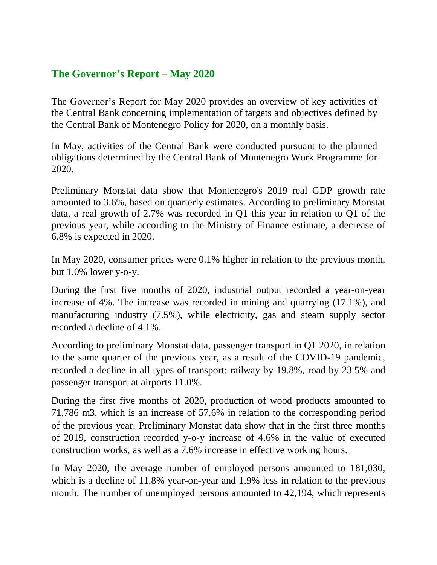## **The Governor's Report – May 2020**

The Governor's Report for May 2020 provides an overview of key activities of the Central Bank concerning implementation of targets and objectives defined by the Central Bank of Montenegro Policy for 2020, on a monthly basis.

In May, activities of the Central Bank were conducted pursuant to the planned obligations determined by the Central Bank of Montenegro Work Programme for 2020.

Preliminary Monstat data show that Montenegro's 2019 real GDP growth rate amounted to 3.6%, based on quarterly estimates. According to preliminary Monstat data, a real growth of 2.7% was recorded in Q1 this year in relation to Q1 of the previous year, while according to the Ministry of Finance estimate, a decrease of 6.8% is expected in 2020.

In May 2020, consumer prices were 0.1% higher in relation to the previous month, but 1.0% lower y-o-y.

During the first five months of 2020, industrial output recorded a year-on-year increase of 4%. The increase was recorded in mining and quarrying (17.1%), and manufacturing industry (7.5%), while electricity, gas and steam supply sector recorded a decline of 4.1%.

According to preliminary Monstat data, passenger transport in Q1 2020, in relation to the same quarter of the previous year, as a result of the COVID-19 pandemic, recorded a decline in all types of transport: railway by 19.8%, road by 23.5% and passenger transport at airports 11.0%.

During the first five months of 2020, production of wood products amounted to 71,786 m3, which is an increase of 57.6% in relation to the corresponding period of the previous year. Preliminary Monstat data show that in the first three months of 2019, construction recorded y-o-y increase of 4.6% in the value of executed construction works, as well as a 7.6% increase in effective working hours.

In May 2020, the average number of employed persons amounted to 181,030, which is a decline of 11.8% year-on-year and 1.9% less in relation to the previous month. The number of unemployed persons amounted to 42,194, which represents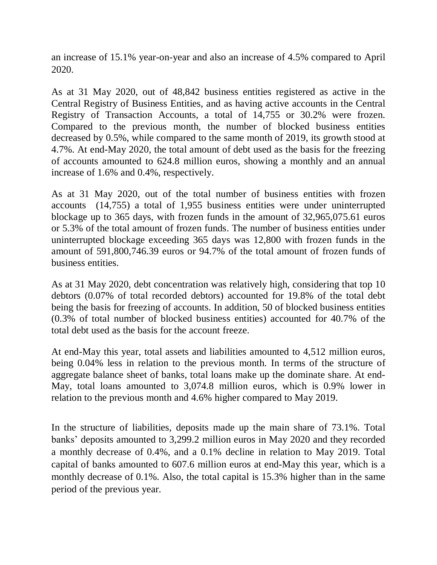an increase of 15.1% year-on-year and also an increase of 4.5% compared to April 2020.

As at 31 May 2020, out of 48,842 business entities registered as active in the Central Registry of Business Entities, and as having active accounts in the Central Registry of Transaction Accounts, a total of 14,755 or 30.2% were frozen. Compared to the previous month, the number of blocked business entities decreased by 0.5%, while compared to the same month of 2019, its growth stood at 4.7%. At end-May 2020, the total amount of debt used as the basis for the freezing of accounts amounted to 624.8 million euros, showing a monthly and an annual increase of 1.6% and 0.4%, respectively.

As at 31 May 2020, out of the total number of business entities with frozen accounts (14,755) a total of 1,955 business entities were under uninterrupted blockage up to 365 days, with frozen funds in the amount of 32,965,075.61 euros or 5.3% of the total amount of frozen funds. The number of business entities under uninterrupted blockage exceeding 365 days was 12,800 with frozen funds in the amount of 591,800,746.39 euros or 94.7% of the total amount of frozen funds of business entities.

As at 31 May 2020, debt concentration was relatively high, considering that top 10 debtors (0.07% of total recorded debtors) accounted for 19.8% of the total debt being the basis for freezing of accounts. In addition, 50 of blocked business entities (0.3% of total number of blocked business entities) accounted for 40.7% of the total debt used as the basis for the account freeze.

At end-May this year, total assets and liabilities amounted to 4,512 million euros, being 0.04% less in relation to the previous month. In terms of the structure of aggregate balance sheet of banks, total loans make up the dominate share. At end-May, total loans amounted to 3,074.8 million euros, which is 0.9% lower in relation to the previous month and 4.6% higher compared to May 2019.

In the structure of liabilities, deposits made up the main share of 73.1%. Total banks' deposits amounted to 3,299.2 million euros in May 2020 and they recorded a monthly decrease of 0.4%, and a 0.1% decline in relation to May 2019. Total capital of banks amounted to 607.6 million euros at end-May this year, which is a monthly decrease of 0.1%. Also, the total capital is 15.3% higher than in the same period of the previous year.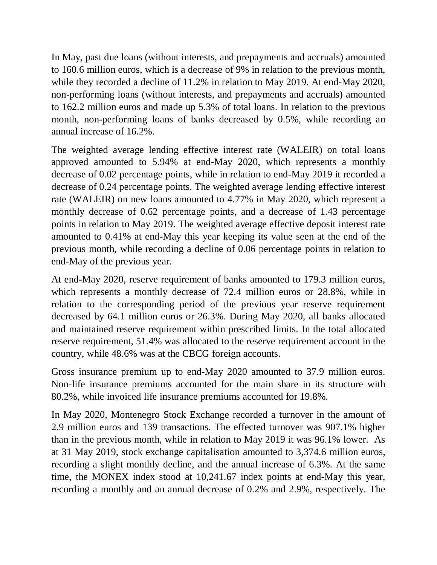In May, past due loans (without interests, and prepayments and accruals) amounted to 160.6 million euros, which is a decrease of 9% in relation to the previous month, while they recorded a decline of 11.2% in relation to May 2019. At end-May 2020, non-performing loans (without interests, and prepayments and accruals) amounted to 162.2 million euros and made up 5.3% of total loans. In relation to the previous month, non-performing loans of banks decreased by 0.5%, while recording an annual increase of 16.2%.

The weighted average lending effective interest rate (WALEIR) on total loans approved amounted to 5.94% at end-May 2020, which represents a monthly decrease of 0.02 percentage points, while in relation to end-May 2019 it recorded a decrease of 0.24 percentage points. The weighted average lending effective interest rate (WALEIR) on new loans amounted to 4.77% in May 2020, which represent a monthly decrease of 0.62 percentage points, and a decrease of 1.43 percentage points in relation to May 2019. The weighted average effective deposit interest rate amounted to 0.41% at end-May this year keeping its value seen at the end of the previous month, while recording a decline of 0.06 percentage points in relation to end-May of the previous year.

At end-May 2020, reserve requirement of banks amounted to 179.3 million euros, which represents a monthly decrease of 72.4 million euros or 28.8%, while in relation to the corresponding period of the previous year reserve requirement decreased by 64.1 million euros or 26.3%. During May 2020, all banks allocated and maintained reserve requirement within prescribed limits. In the total allocated reserve requirement, 51.4% was allocated to the reserve requirement account in the country, while 48.6% was at the CBCG foreign accounts.

Gross insurance premium up to end-May 2020 amounted to 37.9 million euros. Non-life insurance premiums accounted for the main share in its structure with 80.2%, while invoiced life insurance premiums accounted for 19.8%.

In May 2020, Montenegro Stock Exchange recorded a turnover in the amount of 2.9 million euros and 139 transactions. The effected turnover was 907.1% higher than in the previous month, while in relation to May 2019 it was 96.1% lower. As at 31 May 2019, stock exchange capitalisation amounted to 3,374.6 million euros, recording a slight monthly decline, and the annual increase of 6.3%. At the same time, the MONEX index stood at 10,241.67 index points at end-May this year, recording a monthly and an annual decrease of 0.2% and 2.9%, respectively. The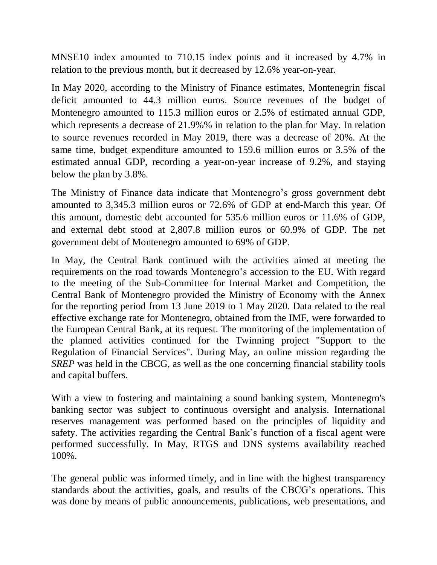MNSE10 index amounted to 710.15 index points and it increased by 4.7% in relation to the previous month, but it decreased by 12.6% year-on-year.

In May 2020, according to the Ministry of Finance estimates, Montenegrin fiscal deficit amounted to 44.3 million euros. Source revenues of the budget of Montenegro amounted to 115.3 million euros or 2.5% of estimated annual GDP, which represents a decrease of 21.9%% in relation to the plan for May. In relation to source revenues recorded in May 2019, there was a decrease of 20%. At the same time, budget expenditure amounted to 159.6 million euros or 3.5% of the estimated annual GDP, recording a year-on-year increase of 9.2%, and staying below the plan by 3.8%.

The Ministry of Finance data indicate that Montenegro's gross government debt amounted to 3,345.3 million euros or 72.6% of GDP at end-March this year. Of this amount, domestic debt accounted for 535.6 million euros or 11.6% of GDP, and external debt stood at 2,807.8 million euros or 60.9% of GDP. The net government debt of Montenegro amounted to 69% of GDP.

In May, the Central Bank continued with the activities aimed at meeting the requirements on the road towards Montenegro's accession to the EU. With regard to the meeting of the Sub-Committee for Internal Market and Competition, the Central Bank of Montenegro provided the Ministry of Economy with the Annex for the reporting period from 13 June 2019 to 1 May 2020. Data related to the real effective exchange rate for Montenegro, obtained from the IMF, were forwarded to the European Central Bank, at its request. The monitoring of the implementation of the planned activities continued for the Twinning project "Support to the Regulation of Financial Services". During May, an online mission regarding the *SREP* was held in the CBCG, as well as the one concerning financial stability tools and capital buffers.

With a view to fostering and maintaining a sound banking system, Montenegro's banking sector was subject to continuous oversight and analysis. International reserves management was performed based on the principles of liquidity and safety. The activities regarding the Central Bank's function of a fiscal agent were performed successfully. In May, RTGS and DNS systems availability reached 100%.

The general public was informed timely, and in line with the highest transparency standards about the activities, goals, and results of the CBCG's operations. This was done by means of public announcements, publications, web presentations, and